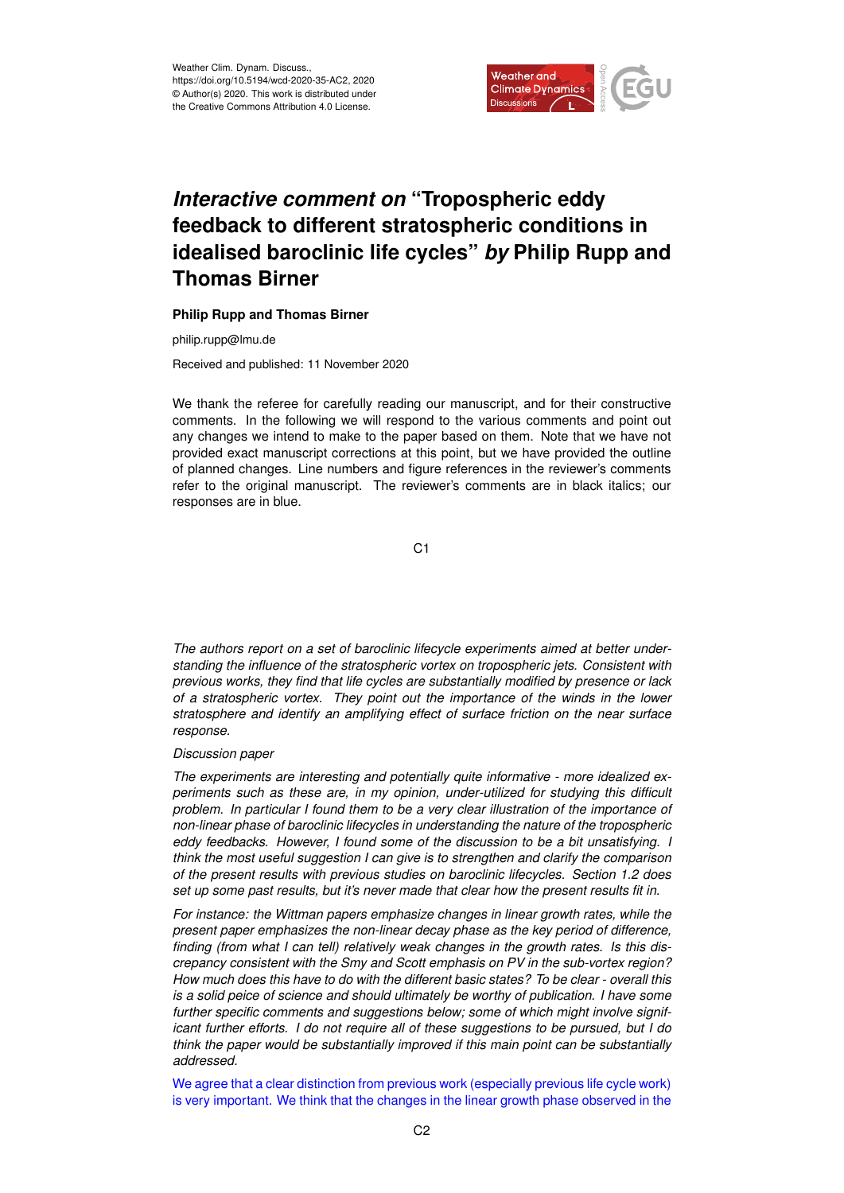

# *Interactive comment on* **"Tropospheric eddy feedback to different stratospheric conditions in idealised baroclinic life cycles"** *by* **Philip Rupp and Thomas Birner**

#### **Philip Rupp and Thomas Birner**

philip.rupp@lmu.de

Received and published: 11 November 2020

We thank the referee for carefully reading our manuscript, and for their constructive comments. In the following we will respond to the various comments and point out any changes we intend to make to the paper based on them. Note that we have not provided exact manuscript corrections at this point, but we have provided the outline of planned changes. Line numbers and figure references in the reviewer's comments refer to the original manuscript. The reviewer's comments are in black italics; our responses are in blue.

C1

*The authors report on a set of baroclinic lifecycle experiments aimed at better understanding the influence of the stratospheric vortex on tropospheric jets. Consistent with previous works, they find that life cycles are substantially modified by presence or lack of a stratospheric vortex. They point out the importance of the winds in the lower stratosphere and identify an amplifying effect of surface friction on the near surface response.*

#### *Discussion paper*

*The experiments are interesting and potentially quite informative - more idealized experiments such as these are, in my opinion, under-utilized for studying this difficult problem. In particular I found them to be a very clear illustration of the importance of non-linear phase of baroclinic lifecycles in understanding the nature of the tropospheric eddy feedbacks. However, I found some of the discussion to be a bit unsatisfying. I think the most useful suggestion I can give is to strengthen and clarify the comparison of the present results with previous studies on baroclinic lifecycles. Section 1.2 does set up some past results, but it's never made that clear how the present results fit in.*

*For instance: the Wittman papers emphasize changes in linear growth rates, while the present paper emphasizes the non-linear decay phase as the key period of difference, finding (from what I can tell) relatively weak changes in the growth rates. Is this discrepancy consistent with the Smy and Scott emphasis on PV in the sub-vortex region? How much does this have to do with the different basic states? To be clear - overall this is a solid peice of science and should ultimately be worthy of publication. I have some further specific comments and suggestions below; some of which might involve significant further efforts. I do not require all of these suggestions to be pursued, but I do think the paper would be substantially improved if this main point can be substantially addressed.*

We agree that a clear distinction from previous work (especially previous life cycle work) is very important. We think that the changes in the linear growth phase observed in the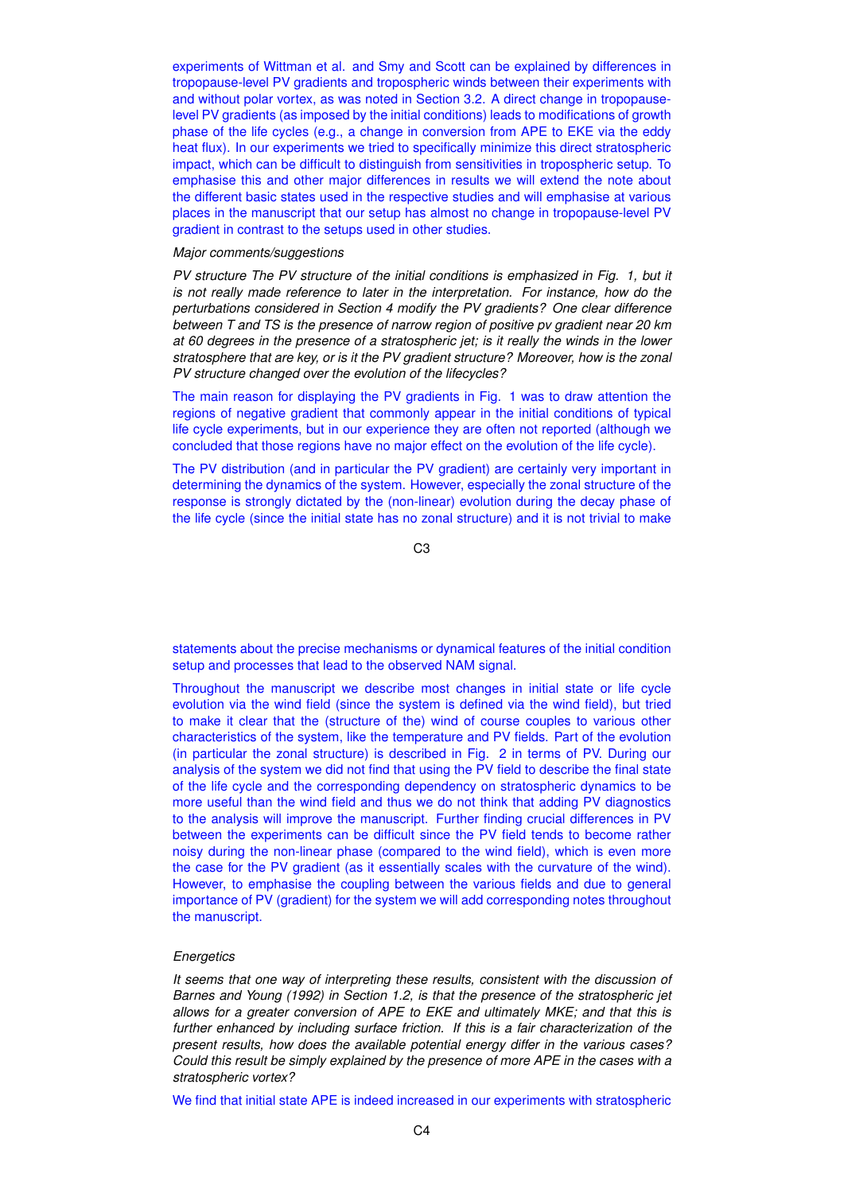experiments of Wittman et al. and Smy and Scott can be explained by differences in tropopause-level PV gradients and tropospheric winds between their experiments with and without polar vortex, as was noted in Section 3.2. A direct change in tropopauselevel PV gradients (as imposed by the initial conditions) leads to modifications of growth phase of the life cycles (e.g., a change in conversion from APE to EKE via the eddy heat flux). In our experiments we tried to specifically minimize this direct stratospheric impact, which can be difficult to distinguish from sensitivities in tropospheric setup. To emphasise this and other major differences in results we will extend the note about the different basic states used in the respective studies and will emphasise at various places in the manuscript that our setup has almost no change in tropopause-level PV gradient in contrast to the setups used in other studies.

## *Major comments/suggestions*

*PV structure The PV structure of the initial conditions is emphasized in Fig. 1, but it is not really made reference to later in the interpretation. For instance, how do the perturbations considered in Section 4 modify the PV gradients? One clear difference between T and TS is the presence of narrow region of positive pv gradient near 20 km at 60 degrees in the presence of a stratospheric jet; is it really the winds in the lower stratosphere that are key, or is it the PV gradient structure? Moreover, how is the zonal PV structure changed over the evolution of the lifecycles?*

The main reason for displaying the PV gradients in Fig. 1 was to draw attention the regions of negative gradient that commonly appear in the initial conditions of typical life cycle experiments, but in our experience they are often not reported (although we concluded that those regions have no major effect on the evolution of the life cycle).

The PV distribution (and in particular the PV gradient) are certainly very important in determining the dynamics of the system. However, especially the zonal structure of the response is strongly dictated by the (non-linear) evolution during the decay phase of the life cycle (since the initial state has no zonal structure) and it is not trivial to make

C3

statements about the precise mechanisms or dynamical features of the initial condition setup and processes that lead to the observed NAM signal.

Throughout the manuscript we describe most changes in initial state or life cycle evolution via the wind field (since the system is defined via the wind field), but tried to make it clear that the (structure of the) wind of course couples to various other characteristics of the system, like the temperature and PV fields. Part of the evolution (in particular the zonal structure) is described in Fig. 2 in terms of PV. During our analysis of the system we did not find that using the PV field to describe the final state of the life cycle and the corresponding dependency on stratospheric dynamics to be more useful than the wind field and thus we do not think that adding PV diagnostics to the analysis will improve the manuscript. Further finding crucial differences in PV between the experiments can be difficult since the PV field tends to become rather noisy during the non-linear phase (compared to the wind field), which is even more the case for the PV gradient (as it essentially scales with the curvature of the wind). However, to emphasise the coupling between the various fields and due to general importance of PV (gradient) for the system we will add corresponding notes throughout the manuscript.

## *Energetics*

*It seems that one way of interpreting these results, consistent with the discussion of Barnes and Young (1992) in Section 1.2, is that the presence of the stratospheric jet allows for a greater conversion of APE to EKE and ultimately MKE; and that this is further enhanced by including surface friction. If this is a fair characterization of the present results, how does the available potential energy differ in the various cases? Could this result be simply explained by the presence of more APE in the cases with a stratospheric vortex?*

We find that initial state APE is indeed increased in our experiments with stratospheric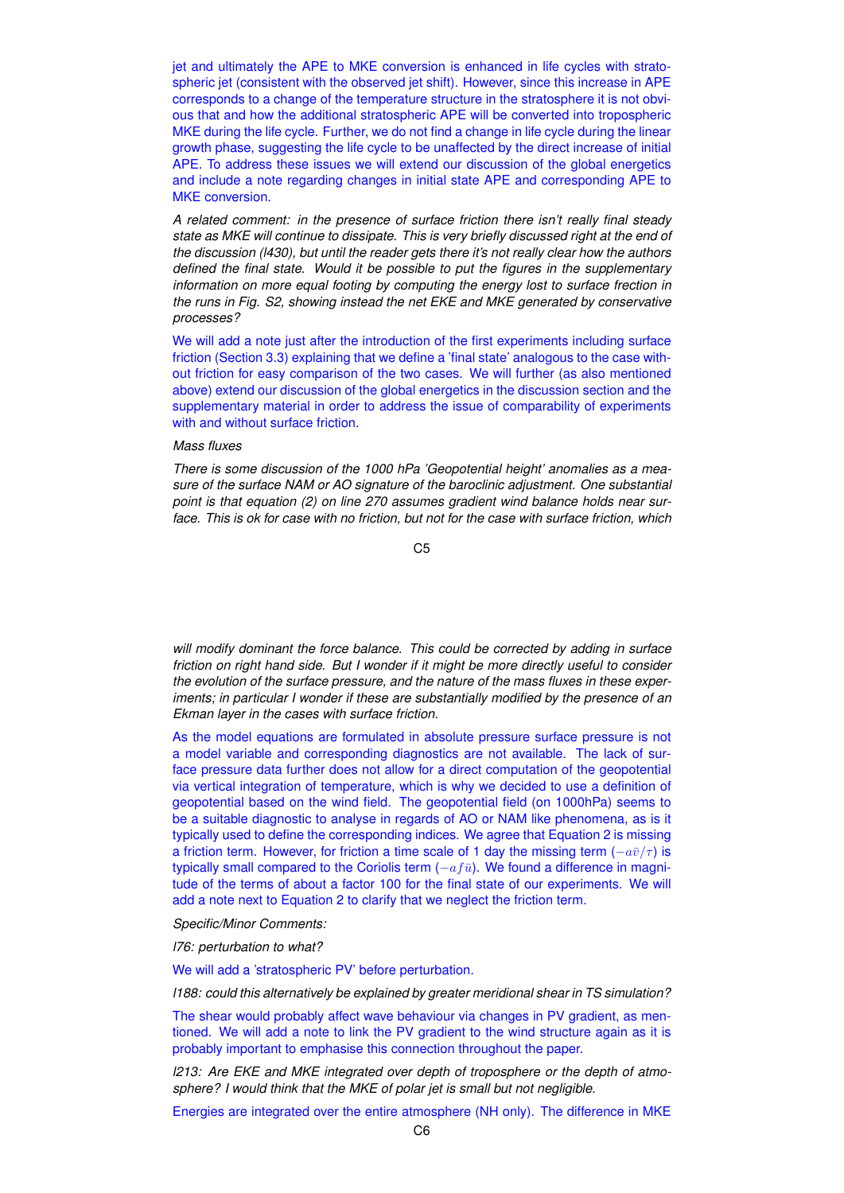jet and ultimately the APE to MKE conversion is enhanced in life cycles with stratospheric jet (consistent with the observed jet shift). However, since this increase in APE corresponds to a change of the temperature structure in the stratosphere it is not obvious that and how the additional stratospheric APE will be converted into tropospheric MKE during the life cycle. Further, we do not find a change in life cycle during the linear growth phase, suggesting the life cycle to be unaffected by the direct increase of initial APE. To address these issues we will extend our discussion of the global energetics and include a note regarding changes in initial state APE and corresponding APE to MKE conversion.

*A related comment: in the presence of surface friction there isn't really final steady state as MKE will continue to dissipate. This is very briefly discussed right at the end of the discussion (l430), but until the reader gets there it's not really clear how the authors defined the final state. Would it be possible to put the figures in the supplementary information on more equal footing by computing the energy lost to surface frection in the runs in Fig. S2, showing instead the net EKE and MKE generated by conservative processes?*

We will add a note just after the introduction of the first experiments including surface friction (Section 3.3) explaining that we define a 'final state' analogous to the case without friction for easy comparison of the two cases. We will further (as also mentioned above) extend our discussion of the global energetics in the discussion section and the supplementary material in order to address the issue of comparability of experiments with and without surface friction.

## *Mass fluxes*

*There is some discussion of the 1000 hPa 'Geopotential height' anomalies as a measure of the surface NAM or AO signature of the baroclinic adjustment. One substantial point is that equation (2) on line 270 assumes gradient wind balance holds near surface. This is ok for case with no friction, but not for the case with surface friction, which*

 $C<sub>5</sub>$ 

*will modify dominant the force balance. This could be corrected by adding in surface friction on right hand side. But I wonder if it might be more directly useful to consider the evolution of the surface pressure, and the nature of the mass fluxes in these experiments; in particular I wonder if these are substantially modified by the presence of an Ekman layer in the cases with surface friction.*

As the model equations are formulated in absolute pressure surface pressure is not a model variable and corresponding diagnostics are not available. The lack of surface pressure data further does not allow for a direct computation of the geopotential via vertical integration of temperature, which is why we decided to use a definition of geopotential based on the wind field. The geopotential field (on 1000hPa) seems to be a suitable diagnostic to analyse in regards of AO or NAM like phenomena, as is it typically used to define the corresponding indices. We agree that Equation 2 is missing a friction term. However, for friction a time scale of 1 day the missing term  $(-a\bar{v}/\tau)$  is typically small compared to the Coriolis term  $(-af\bar{u})$ . We found a difference in magnitude of the terms of about a factor 100 for the final state of our experiments. We will add a note next to Equation 2 to clarify that we neglect the friction term.

*Specific/Minor Comments:*

*l76: perturbation to what?*

We will add a 'stratospheric PV' before perturbation.

*l188: could this alternatively be explained by greater meridional shear in TS simulation?*

The shear would probably affect wave behaviour via changes in PV gradient, as mentioned. We will add a note to link the PV gradient to the wind structure again as it is probably important to emphasise this connection throughout the paper.

*l213: Are EKE and MKE integrated over depth of troposphere or the depth of atmosphere? I would think that the MKE of polar jet is small but not negligible.*

Energies are integrated over the entire atmosphere (NH only). The difference in MKE